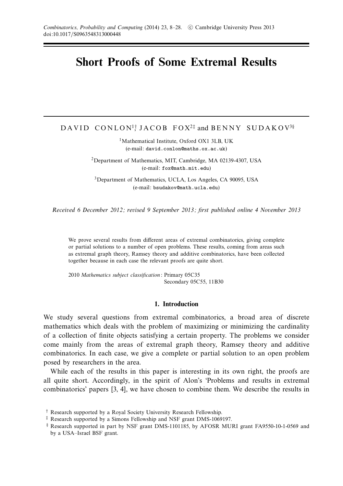# **Short Proofs of Some Extremal Results**

 $\texttt{DAVID}\ \texttt{CONLON}^{1\dagger}\texttt{JACOB}\ \texttt{FOX}^{2\dagger}\ \texttt{and}\ \texttt{BENNY}\ \texttt{SUBAKOV}^{3\S}$ 

<sup>1</sup>Mathematical Institute, Oxford OX1 3LB, UK (e-mail: david.conlon@maths.ox.ac.uk)

2Department of Mathematics, MIT, Cambridge, MA 02139-4307, USA (e-mail: fox@math.mit.edu)

3Department of Mathematics, UCLA, Los Angeles, CA 90095, USA (e-mail: bsudakov@math.ucla.edu)

Received 6 December 2012; revised 9 September 2013; first published online 4 November 2013

We prove several results from different areas of extremal combinatorics, giving complete or partial solutions to a number of open problems. These results, coming from areas such as extremal graph theory, Ramsey theory and additive combinatorics, have been collected together because in each case the relevant proofs are quite short.

2010 Mathematics subject classification: Primary 05C35 Secondary 05C55, 11B30

## **1. Introduction**

We study several questions from extremal combinatorics, a broad area of discrete mathematics which deals with the problem of maximizing or minimizing the cardinality of a collection of finite objects satisfying a certain property. The problems we consider come mainly from the areas of extremal graph theory, Ramsey theory and additive combinatorics. In each case, we give a complete or partial solution to an open problem posed by researchers in the area.

While each of the results in this paper is interesting in its own right, the proofs are all quite short. Accordingly, in the spirit of Alon's 'Problems and results in extremal combinatorics' papers [3, 4], we have chosen to combine them. We describe the results in

<sup>†</sup> Research supported by a Royal Society University Research Fellowship.

<sup>‡</sup> Research supported by a Simons Fellowship and NSF grant DMS-1069197.

<sup>§</sup> Research supported in part by NSF grant DMS-1101185, by AFOSR MURI grant FA9550-10-1-0569 and by a USA–Israel BSF grant.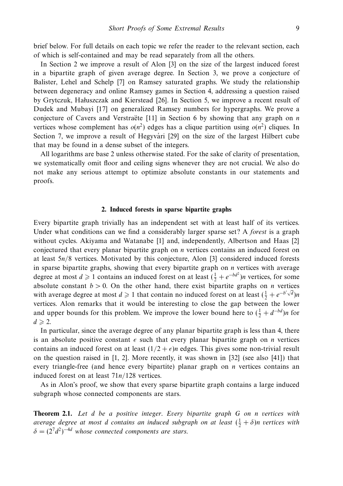brief below. For full details on each topic we refer the reader to the relevant section, each of which is self-contained and may be read separately from all the others.

In Section 2 we improve a result of Alon [3] on the size of the largest induced forest in a bipartite graph of given average degree. In Section 3, we prove a conjecture of Balister, Lehel and Schelp [7] on Ramsey saturated graphs. We study the relationship between degeneracy and online Ramsey games in Section 4, addressing a question raised by Grytczuk, Haluszczak and Kierstead [26]. In Section 5, we improve a recent result of Dudek and Mubayi [17] on generalized Ramsey numbers for hypergraphs. We prove a conjecture of Cavers and Verstraëte  $[11]$  in Section 6 by showing that any graph on  $n$ vertices whose complement has  $o(n^2)$  edges has a clique partition using  $o(n^2)$  cliques. In Section 7, we improve a result of Hegyvári [29] on the size of the largest Hilbert cube that may be found in a dense subset of the integers.

All logarithms are base 2 unless otherwise stated. For the sake of clarity of presentation, we systematically omit floor and ceiling signs whenever they are not crucial. We also do not make any serious attempt to optimize absolute constants in our statements and proofs.

## **2. Induced forests in sparse bipartite graphs**

Every bipartite graph trivially has an independent set with at least half of its vertices. Under what conditions can we find a considerably larger sparse set? A *forest* is a graph without cycles. Akiyama and Watanabe [1] and, independently, Albertson and Haas [2] conjectured that every planar bipartite graph on *n* vertices contains an induced forest on at least 5*n/*8 vertices. Motivated by this conjecture, Alon [3] considered induced forests in sparse bipartite graphs, showing that every bipartite graph on *n* vertices with average degree at most  $d \ge 1$  contains an induced forest on at least  $(\frac{1}{2} + e^{-bd^2})n$  vertices, for some absolute constant  $b > 0$ . On the other hand, there exist bipartite graphs on *n* vertices with average degree at most  $d \ge 1$  that contain no induced forest on at least  $(\frac{1}{2} + e^{-b/\sqrt{d}})n$ vertices. Alon remarks that it would be interesting to close the gap between the lower and upper bounds for this problem. We improve the lower bound here to  $(\frac{1}{2} + d^{-bd})n$  for  $d \geqslant 2$ .

In particular, since the average degree of any planar bipartite graph is less than 4, there is an absolute positive constant  $\epsilon$  such that every planar bipartite graph on *n* vertices contains an induced forest on at least  $(1/2 + \epsilon)n$  edges. This gives some non-trivial result on the question raised in  $[1, 2]$ . More recently, it was shown in  $[32]$  (see also  $[41]$ ) that every triangle-free (and hence every bipartite) planar graph on *n* vertices contains an induced forest on at least 71*n/*128 vertices.

As in Alon's proof, we show that every sparse bipartite graph contains a large induced subgraph whose connected components are stars.

**Theorem 2.1.** Let *d* be a positive integer. Every bipartite graph *G* on *n* vertices with average degree at most *d* contains an induced subgraph on at least  $(\frac{1}{2} + \delta)n$  vertices with  $\delta = (2^7 d^2)^{-4d}$  whose connected components are stars.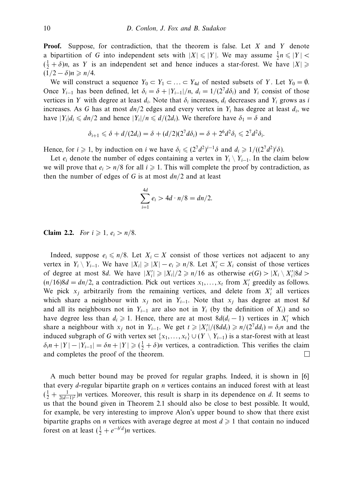**Proof.** Suppose, for contradiction, that the theorem is false. Let *X* and *Y* denote a bipartition of *G* into independent sets with  $|X| \leq |Y|$ . We may assume  $\frac{1}{2}n \leq |Y|$  $(\frac{1}{2} + \delta)n$ , as *Y* is an independent set and hence induces a star-forest. We have  $|X| \geq$  $(1/2 - \delta)n \geqslant n/4.$ 

We will construct a sequence  $Y_0 \subset Y_1 \subset \ldots \subset Y_{4d}$  of nested subsets of *Y*. Let  $Y_0 = \emptyset$ . Once  $Y_{i-1}$  has been defined, let  $\delta_i = \delta + |Y_{i-1}|/n$ ,  $d_i = 1/(2^7 d\delta_i)$  and  $Y_i$  consist of those vertices in *Y* with degree at least  $d_i$ . Note that  $\delta_i$  increases,  $d_i$  decreases and  $Y_i$  grows as *i* increases. As *G* has at most  $dn/2$  edges and every vertex in  $Y_i$  has degree at least  $d_i$ , we have  $|Y_i|d_i \leq d\eta/2$  and hence  $|Y_i|/n \leq d/(2d_i)$ . We therefore have  $\delta_1 = \delta$  and

$$
\delta_{i+1} \leq \delta + d/(2d_i) = \delta + (d/2)(2^7 d \delta_i) = \delta + 2^6 d^2 \delta_i \leq 2^7 d^2 \delta_i.
$$

Hence, for  $i \ge 1$ , by induction on *i* we have  $\delta_i \le (2^7 d^2)^{i-1} \delta$  and  $d_i \ge 1/((2^7 d^2)^i \delta)$ .

Let  $e_i$  denote the number of edges containing a vertex in  $Y_i \setminus Y_{i-1}$ . In the claim below we will prove that  $e_i > n/8$  for all  $i \ge 1$ . This will complete the proof by contradiction, as then the number of edges of *G* is at most *dn/*2 and at least

$$
\sum_{i=1}^{4d} e_i > 4d \cdot n/8 = dn/2.
$$

**Claim 2.2.** For  $i \ge 1$ ,  $e_i > n/8$ .

Indeed, suppose  $e_i \le n/8$ . Let  $X_i \subset X$  consist of those vertices not adjacent to any vertex in  $Y_i \setminus Y_{i-1}$ . We have  $|X_i| \geq |X| - e_i \geq n/8$ . Let  $X'_i \subset X_i$  consist of those vertices of degree at most 8*d*. We have  $|X'_i| \ge |X_i|/2 \ge n/16$  as otherwise  $e(G) > |X_i \setminus X'_i|8d >$  $(n/16)8d = dn/2$ , a contradiction. Pick out vertices  $x_1, \ldots, x_t$  from  $X'_i$  greedily as follows. We pick  $x_j$  arbitrarily from the remaining vertices, and delete from  $X'_i$  all vertices which share a neighbour with  $x_j$  not in  $Y_{i-1}$ . Note that  $x_j$  has degree at most 8*d* and all its neighbours not in  $Y_{i-1}$  are also not in  $Y_i$  (by the definition of  $X_i$ ) and so have degree less than  $d_i \geq 1$ . Hence, there are at most  $8d(d_i - 1)$  vertices in  $X'_i$  which share a neighbour with  $x_j$  not in  $Y_{i-1}$ . We get  $t \ge |X_i'|/(8dd_i) \ge n/(2^7dd_i) = \delta_i n$  and the induced subgraph of *G* with vertex set  $\{x_1, \ldots, x_t\} \cup (Y \setminus Y_{i-1})$  is a star-forest with at least  $\delta_i n + |Y| - |Y_{i-1}| = \delta n + |Y| \geq (\frac{1}{2} + \delta)n$  vertices, a contradiction. This verifies the claim and completes the proof of the theorem.  $\Box$ 

A much better bound may be proved for regular graphs. Indeed, it is shown in [6] that every *d*-regular bipartite graph on *n* vertices contains an induced forest with at least  $(\frac{1}{2} + \frac{1}{2(d-1)^2})n$  vertices. Moreover, this result is sharp in its dependence on *d*. It seems to us that the bound given in Theorem 2.1 should also be close to best possible. It would, for example, be very interesting to improve Alon's upper bound to show that there exist bipartite graphs on *n* vertices with average degree at most  $d \geq 1$  that contain no induced forest on at least  $(\frac{1}{2} + e^{-b'd})n$  vertices.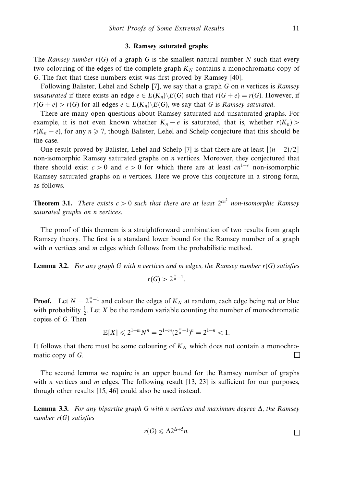#### **3. Ramsey saturated graphs**

The Ramsey number  $r(G)$  of a graph G is the smallest natural number N such that every two-colouring of the edges of the complete graph  $K_N$  contains a monochromatic copy of *G*. The fact that these numbers exist was first proved by Ramsey [40].

Following Balister, Lehel and Schelp [7], we say that a graph *G* on *n* vertices is Ramsey unsaturated if there exists an edge  $e \in E(K_n) \backslash E(G)$  such that  $r(G + e) = r(G)$ . However, if  $r(G + e) > r(G)$  for all edges  $e \in E(K_n) \backslash E(G)$ , we say that *G* is *Ramsey saturated.* 

There are many open questions about Ramsey saturated and unsaturated graphs. For example, it is not even known whether  $K_n - e$  is saturated, that is, whether  $r(K_n)$  $r(K_n - e)$ , for any  $n \ge 7$ , though Balister, Lehel and Schelp conjecture that this should be the case.

One result proved by Balister, Lehel and Schelp [7] is that there are at least  $\lfloor (n-2)/2 \rfloor$ non-isomorphic Ramsey saturated graphs on *n* vertices. Moreover, they conjectured that there should exist  $c > 0$  and  $\epsilon > 0$  for which there are at least  $cn^{1+\epsilon}$  non-isomorphic Ramsey saturated graphs on *n* vertices. Here we prove this conjecture in a strong form, as follows.

**Theorem 3.1.** There exists  $c > 0$  such that there are at least  $2^{cn^2}$  non-isomorphic Ramsey saturated graphs on *n* vertices.

The proof of this theorem is a straightforward combination of two results from graph Ramsey theory. The first is a standard lower bound for the Ramsey number of a graph with *n* vertices and *m* edges which follows from the probabilistic method.

**Lemma 3.2.** For any graph *G* with *n* vertices and *m* edges, the Ramsey number *r*(*G*) satisfies

 $r(G) > 2^{\frac{m}{n}-1}$ .

**Proof.** Let  $N = 2^{\frac{m}{n}-1}$  and colour the edges of  $K_N$  at random, each edge being red or blue with probability  $\frac{1}{2}$ . Let *X* be the random variable counting the number of monochromatic copies of *G*. Then

$$
\mathbb{E}[X] \leq 2^{1-m}N^n = 2^{1-m}(2^{\frac{m}{n}-1})^n = 2^{1-n} < 1.
$$

It follows that there must be some colouring of  $K_N$  which does not contain a monochromatic copy of *G*. П

The second lemma we require is an upper bound for the Ramsey number of graphs with *n* vertices and *m* edges. The following result [13, 23] is sufficient for our purposes, though other results [15, 46] could also be used instead.

**Lemma 3.3.** For any bipartite graph *G* with *n* vertices and maximum degree Δ, the Ramsey number *r*(*G*) satisfies

$$
r(G) \leqslant \Delta 2^{\Delta+5} n.
$$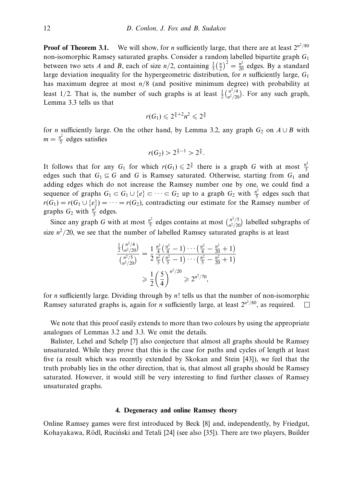**Proof of Theorem 3.1.** We will show, for *n* sufficiently large, that there are at least  $2^{n^2/80}$ non-isomorphic Ramsey saturated graphs. Consider a random labelled bipartite graph *G*<sup>1</sup> between two sets *A* and *B*, each of size  $n/2$ , containing  $\frac{1}{5}(\frac{n}{2})^2 = \frac{n^2}{20}$  edges. By a standard large deviation inequality for the hypergeometric distribution, for *n* sufficiently large, *G*<sup>1</sup> has maximum degree at most *n/*8 (and positive minimum degree) with probability at least 1/2. That is, the number of such graphs is at least  $\frac{1}{2} {n^2/4 \choose n^2/20}$ . For any such graph, Lemma 3.3 tells us that

$$
r(G_1)\leqslant 2^{\frac{n}{8}+2}n^2\leqslant 2^{\frac{n}{6}}
$$

for *n* sufficiently large. On the other hand, by Lemma 3.2, any graph  $G_2$  on  $A \cup B$  with  $m = \frac{n^2}{5}$  edges satisfies

$$
r(G_2) > 2^{\frac{n}{5}-1} > 2^{\frac{n}{6}}.
$$

It follows that for any  $G_1$  for which  $r(G_1) \leq 2^{\frac{n}{6}}$  there is a graph *G* with at most  $\frac{n^2}{5}$ edges such that  $G_1 \subseteq G$  and *G* is Ramsey saturated. Otherwise, starting from  $G_1$  and adding edges which do not increase the Ramsey number one by one, we could find a sequence of graphs  $G_1 \subset G_1 \cup \{e\} \subset \cdots \subset G_2$  up to a graph  $G_2$  with  $\frac{n^2}{5}$  edges such that  $r(G_1) = r(G_1 \cup \{e\}) = \cdots = r(G_2)$ , contradicting our estimate for the Ramsey number of graphs  $G_2$  with  $\frac{n^2}{5}$  edges.

Since any graph *G* with at most  $\frac{n^2}{5}$  edges contains at most  $\binom{n^2}{5}$  labelled subgraphs of size  $n^2/20$ , we see that the number of labelled Ramsey saturated graphs is at least

$$
\frac{\frac{1}{2} {n^2/20 \choose n^2/20}}{ {n^2/5 \choose n^2/20}} = \frac{1}{2} \frac{\frac{n^2}{4} (\frac{n^2}{4} - 1) \cdots (\frac{n^2}{4} - \frac{n^2}{20} + 1)}{\frac{n^2}{5} (\frac{n^2}{5} - 1) \cdots (\frac{n^2}{5} - \frac{n^2}{20} + 1)}
$$
  
\n
$$
\geq \frac{1}{2} (\frac{5}{4})^{n^2/20} \geq 2^{n^2/70},
$$

for *n* sufficiently large. Dividing through by *n*! tells us that the number of non-isomorphic Ramsey saturated graphs is, again for *n* sufficiently large, at least  $2^{n^2/80}$ , as required.  $\Box$ 

We note that this proof easily extends to more than two colours by using the appropriate analogues of Lemmas 3.2 and 3.3. We omit the details.

Balister, Lehel and Schelp [7] also conjecture that almost all graphs should be Ramsey unsaturated. While they prove that this is the case for paths and cycles of length at least five (a result which was recently extended by Skokan and Stein [43]), we feel that the truth probably lies in the other direction, that is, that almost all graphs should be Ramsey saturated. However, it would still be very interesting to find further classes of Ramsey unsaturated graphs.

## **4. Degeneracy and online Ramsey theory**

Online Ramsey games were first introduced by Beck [8] and, independently, by Friedgut, Kohayakawa, Rödl, Ruciński and Tetali [24] (see also [35]). There are two players, Builder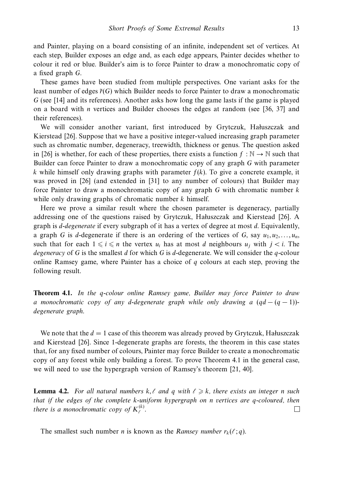and Painter, playing on a board consisting of an infinite, independent set of vertices. At each step, Builder exposes an edge and, as each edge appears, Painter decides whether to colour it red or blue. Builder's aim is to force Painter to draw a monochromatic copy of a fixed graph *G*.

These games have been studied from multiple perspectives. One variant asks for the least number of edges ˜*r*(*G*) which Builder needs to force Painter to draw a monochromatic *G* (see [14] and its references). Another asks how long the game lasts if the game is played on a board with *n* vertices and Builder chooses the edges at random (see [36, 37] and their references).

We will consider another variant, first introduced by Grytczuk, Haluszczak and Kierstead [26]. Suppose that we have a positive integer-valued increasing graph parameter such as chromatic number, degeneracy, treewidth, thickness or genus. The question asked in [26] is whether, for each of these properties, there exists a function  $f : \mathbb{N} \to \mathbb{N}$  such that Builder can force Painter to draw a monochromatic copy of any graph *G* with parameter *k* while himself only drawing graphs with parameter *f*(*k*). To give a concrete example, it was proved in [26] (and extended in [31] to any number of colours) that Builder may force Painter to draw a monochromatic copy of any graph *G* with chromatic number *k* while only drawing graphs of chromatic number *k* himself.

Here we prove a similar result where the chosen parameter is degeneracy, partially addressing one of the questions raised by Grytczuk, Haluszczak and Kierstead [26]. A graph is *d*-degenerate if every subgraph of it has a vertex of degree at most *d*. Equivalently, a graph *G* is *d*-degenerate if there is an ordering of the vertices of *G*, say  $u_1, u_2, \ldots, u_n$ , such that for each  $1 \leq i \leq n$  the vertex  $u_i$  has at most *d* neighbours  $u_i$  with  $i < i$ . The degeneracy of *G* is the smallest *d* for which *G* is *d*-degenerate. We will consider the *q*-colour online Ramsey game, where Painter has a choice of *q* colours at each step, proving the following result.

**Theorem 4.1.** In the *q*-colour online Ramsey game, Builder may force Painter to draw a monochromatic copy of any *d*-degenerate graph while only drawing a (*qd* − (*q* − 1)) degenerate graph.

We note that the  $d = 1$  case of this theorem was already proved by Grytczuk, Haluszczak and Kierstead [26]. Since 1-degenerate graphs are forests, the theorem in this case states that, for any fixed number of colours, Painter may force Builder to create a monochromatic copy of any forest while only building a forest. To prove Theorem 4.1 in the general case, we will need to use the hypergraph version of Ramsey's theorem [21, 40].

**Lemma 4.2.** For all natural numbers  $k, \ell$  and  $q$  with  $\ell \geq k$ , there exists an integer *n* such that if the edges of the complete *k*-uniform hypergraph on *n* vertices are *q*-coloured, then there is a monochromatic copy of  $K_{\ell}^{(k)}$ .  $\Box$ 

The smallest such number *n* is known as the *Ramsey number*  $r_k(\ell; q)$ .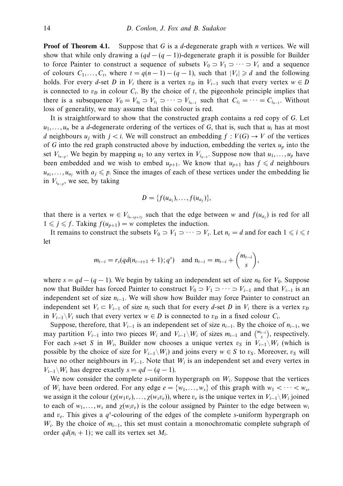**Proof of Theorem 4.1.** Suppose that *G* is a *d*-degenerate graph with *n* vertices. We will show that while only drawing a  $(qd - (q - 1))$ -degenerate graph it is possible for Builder to force Painter to construct a sequence of subsets  $V_0 \supset V_1 \supset \cdots \supset V_t$  and a sequence of colours  $C_1, \ldots, C_t$ , where  $t = q(n-1) - (q-1)$ , such that  $|V_t| \ge d$  and the following holds. For every *d*-set *D* in  $V_i$  there is a vertex  $v_D$  in  $V_{i-1}$  such that every vertex  $w \in D$ is connected to  $v<sub>D</sub>$  in colour  $C<sub>i</sub>$ . By the choice of  $t$ , the pigeonhole principle implies that there is a subsequence  $V_0 = V_{i_0} \supset V_{i_1} \supset \cdots \supset V_{i_{n-1}}$  such that  $C_{i_1} = \cdots = C_{i_{n-1}}$ . Without loss of generality, we may assume that this colour is red.

It is straightforward to show that the constructed graph contains a red copy of *G*. Let  $u_1, \ldots, u_n$  be a *d*-degenerate ordering of the vertices of *G*, that is, such that  $u_i$  has at most *d* neighbours  $u_i$  with  $j < i$ . We will construct an embedding  $f : V(G) \to V$  of the vertices of *G* into the red graph constructed above by induction, embedding the vertex *up* into the set  $V_{i_{n-p}}$ . We begin by mapping  $u_1$  to any vertex in  $V_{i_{n-1}}$ . Suppose now that  $u_1, \ldots, u_p$  have been embedded and we wish to embed  $u_{p+1}$ . We know that  $u_{p+1}$  has  $f \le d$  neighbours  $u_{a_1}, \ldots, u_{a_f}$  with  $a_j \leq p$ . Since the images of each of these vertices under the embedding lie in  $V_{i_{n-p}}$ , we see, by taking

$$
D=\{f(u_{a_1}),\ldots,f(u_{a_f})\},\
$$

that there is a vertex  $w \in V_{i_{n-(p+1)}}$  such that the edge between *w* and  $f(u_{a_i})$  is red for all  $1 \leq j \leq f$ . Taking  $f(u_{p+1}) = w$  completes the induction.

It remains to construct the subsets  $V_0 \supset V_1 \supset \cdots \supset V_t$ . Let  $n_t = d$  and for each  $1 \leq i \leq t$ let

$$
m_{t-i} = r_s(qd(n_{t-i+1}+1);q^s)
$$
 and  $n_{t-i} = m_{t-i} + {m_{t-i} \choose s}$ ,

where  $s = qd - (q - 1)$ . We begin by taking an independent set of size  $n_0$  for  $V_0$ . Suppose now that Builder has forced Painter to construct  $V_0 \supset V_1 \supset \cdots \supset V_{i-1}$  and that  $V_{i-1}$  is an independent set of size *ni*−1. We will show how Builder may force Painter to construct an independent set  $V_i \subset V_{i-1}$  of size  $n_i$  such that for every *d*-set *D* in  $V_i$  there is a vertex  $v_p$ in  $V_{i-1}\setminus V_i$  such that every vertex  $w ∈ D$  is connected to  $v_D$  in a fixed colour  $C_i$ .

Suppose, therefore, that  $V_{i-1}$  is an independent set of size  $n_{i-1}$ . By the choice of  $n_{i-1}$ , we may partition  $V_{i-1}$  into two pieces  $W_i$  and  $V_{i-1}\setminus W_i$  of sizes  $m_{i-1}$  and  $\binom{m_{i-1}}{s}$ , respectively. For each *s*-set *S* in  $W_i$ , Builder now chooses a unique vertex  $v_s$  in  $V_{i-1}\W_i$  (which is possible by the choice of size for  $V_{i-1}\setminus W_i$  and joins every  $w \in S$  to  $v_S$ . Moreover,  $v_S$  will have no other neighbours in  $V_{i-1}$ . Note that  $W_i$  is an independent set and every vertex in *V<sub>i−1</sub>*  $\setminus W_i$  has degree exactly *s* = *qd* − (*q* − 1).

We now consider the complete *s*-uniform hypergraph on *Wi*. Suppose that the vertices of  $W_i$  have been ordered. For any edge  $e = \{w_1, \ldots, w_s\}$  of this graph with  $w_1 < \cdots < w_s$ , we assign it the colour  $(\chi(w_1v_e),..., \chi(w_sv_e))$ , where  $v_e$  is the unique vertex in  $V_{i-1}\backslash W_i$  joined to each of  $w_1, \ldots, w_s$  and  $\chi(w_i v_e)$  is the colour assigned by Painter to the edge between  $w_i$ and *ve*. This gives a *q<sup>s</sup>* -colouring of the edges of the complete *s*-uniform hypergraph on *W<sub>i</sub>*. By the choice of *m<sub>i−1</sub>*, this set must contain a monochromatic complete subgraph of order  $qd(n_i + 1)$ ; we call its vertex set  $M_i$ .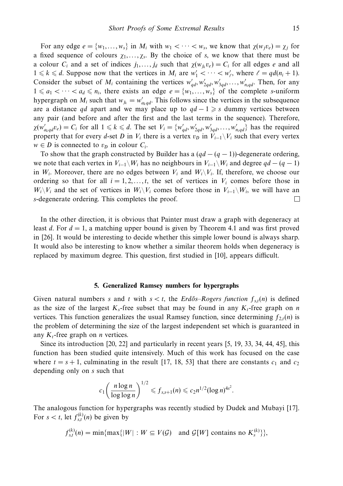For any edge  $e = \{w_1, \ldots, w_s\}$  in  $M_i$  with  $w_1 < \cdots < w_s$ , we know that  $\chi(w_i v_e) = \chi_i$  for a fixed sequence of colours  $\chi_1, \ldots, \chi_s$ . By the choice of *s*, we know that there must be a colour  $C_i$  and a set of indices  $j_1, \ldots, j_d$  such that  $\chi(w_{i_k} v_e) = C_i$  for all edges *e* and all  $1 \le k \le d$ . Suppose now that the vertices in  $M_i$  are  $w'_1 < \cdots < w'_\ell$ , where  $\ell = qd(n_i + 1)$ . Consider the subset of  $M_i$  containing the vertices  $w'_{qd}, w'_{2qd}, w'_{3qd}, \ldots, w'_{n_iqd}$ . Then, for any  $1 \le a_1 < \cdots < a_d \le n_i$ , there exists an edge  $e = \{w_1, \ldots, w_s\}$  of the complete *s*-uniform hypergraph on  $M_i$  such that  $w_{j_k} = w'_{a_k q d}$ . This follows since the vertices in the subsequence are a distance *qd* apart and we may place up to  $qd-1 \geq s$  dummy vertices between any pair (and before and after the first and the last terms in the sequence). Therefore,  $\chi(w'_{a_kq d}v_e) = C_i$  for all  $1 \le k \le d$ . The set  $V_i = \{w'_{qd}, w'_{2qd}, w'_{3qd}, \ldots, w'_{n_iq d}\}$  has the required property that for every *d*-set *D* in  $V_i$  there is a vertex  $v_D$  in  $V_{i-1}\setminus V_i$  such that every vertex  $w \in D$  is connected to  $v_D$  in colour  $C_i$ .

To show that the graph constructed by Builder has a  $(qd - (q - 1))$ -degenerate ordering, we note that each vertex in  $V_{i-1}\backslash W_i$  has no neighbours in  $V_{i-1}\backslash W_i$  and degree  $qd - (q - 1)$ in  $W_i$ . Moreover, there are no edges between  $V_i$  and  $W_i\backslash V_i$ . If, therefore, we choose our ordering so that for all  $i = 1, 2, \ldots, t$ , the set of vertices in  $V_i$  comes before those in  $W_i\backslash V_i$  and the set of vertices in  $W_i\backslash V_i$  comes before those in  $V_{i-1}\backslash W_i$ , we will have an *s*-degenerate ordering. This completes the proof. П

In the other direction, it is obvious that Painter must draw a graph with degeneracy at least *d*. For *d* = 1, a matching upper bound is given by Theorem 4.1 and was first proved in [26]. It would be interesting to decide whether this simple lower bound is always sharp. It would also be interesting to know whether a similar theorem holds when degeneracy is replaced by maximum degree. This question, first studied in [10], appears difficult.

#### **5. Generalized Ramsey numbers for hypergraphs**

Given natural numbers *s* and *t* with  $s < t$ , the Erdős–Rogers function  $f_{s,t}(n)$  is defined as the size of the largest  $K_s$ -free subset that may be found in any  $K_t$ -free graph on *n* vertices. This function generalizes the usual Ramsey function, since determining  $f_{2(*n*) is$ the problem of determining the size of the largest independent set which is guaranteed in any  $K_t$ -free graph on *n* vertices.

Since its introduction [20, 22] and particularly in recent years [5, 19, 33, 34, 44, 45], this function has been studied quite intensively. Much of this work has focused on the case where  $t = s + 1$ , culminating in the result [17, 18, 53] that there are constants  $c_1$  and  $c_2$ depending only on *s* such that

$$
c_1 \left( \frac{n \log n}{\log \log n} \right)^{1/2} \leqslant f_{s,s+1}(n) \leqslant c_2 n^{1/2} (\log n)^{4s^2}.
$$

The analogous function for hypergraphs was recently studied by Dudek and Mubayi [17]. For  $s < t$ , let  $f_{s,t}^{(k)}(n)$  be given by

$$
f_{s,t}^{(k)}(n) = \min\{\max\{|W| : W \subseteq V(G) \text{ and } \mathcal{G}[W] \text{ contains no } K_s^{(k)}\}\},\
$$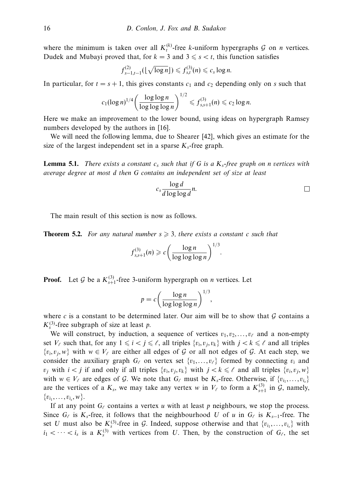where the minimum is taken over all  $K_t^{(k)}$ -free *k*-uniform hypergraphs G on *n* vertices. Dudek and Mubayi proved that, for  $k = 3$  and  $3 \le s \le t$ , this function satisfies

$$
f_{s-1,t-1}^{(2)}(\lfloor\sqrt{\log n}\rfloor) \leqslant f_{s,t}^{(3)}(n) \leqslant c_s \log n.
$$

In particular, for  $t = s + 1$ , this gives constants  $c_1$  and  $c_2$  depending only on *s* such that

$$
c_1(\log n)^{1/4}\bigg(\frac{\log\log n}{\log\log\log n}\bigg)^{1/2}\leqslant f_{s,s+1}^{(3)}(n)\leqslant c_2\log n.
$$

Here we make an improvement to the lower bound, using ideas on hypergraph Ramsey numbers developed by the authors in [16].

We will need the following lemma, due to Shearer [42], which gives an estimate for the size of the largest independent set in a sparse  $K_s$ -free graph.

**Lemma 5.1.** There exists a constant  $c_s$  such that if G is a  $K_s$ -free graph on *n* vertices with average degree at most *d* then *G* contains an independent set of size at least

$$
c_s \frac{\log d}{d \log \log d} n.
$$

*.*

The main result of this section is now as follows.

**Theorem 5.2.** For any natural number  $s \geq 3$ , there exists a constant *c* such that

$$
f_{s,s+1}^{(3)}(n) \geqslant c \left( \frac{\log n}{\log \log \log n} \right)^{1/3}
$$

**Proof.** Let G be a  $K_{s+1}^{(3)}$ -free 3-uniform hypergraph on *n* vertices. Let

$$
p = c \left( \frac{\log n}{\log \log \log n} \right)^{1/3},
$$

where  $c$  is a constant to be determined later. Our aim will be to show that  $\mathcal G$  contains a  $K_s^{(3)}$ -free subgraph of size at least *p*.

We will construct, by induction, a sequence of vertices  $v_1, v_2, \ldots, v_\ell$  and a non-empty set  $V_{\ell}$  such that, for any  $1 \leq i < j \leq \ell$ , all triples  $\{v_i, v_j, v_k\}$  with  $j < k \leq \ell$  and all triples  $\{v_i, v_j, w\}$  with  $w \in V_\ell$  are either all edges of G or all not edges of G. At each step, we consider the auxiliary graph  $G_\ell$  on vertex set  $\{v_1, \ldots, v_\ell\}$  formed by connecting  $v_i$  and *v<sub>i</sub>* with  $i < j$  if and only if all triples  $\{v_i, v_j, v_k\}$  with  $j < k \leq \ell$  and all triples  $\{v_i, v_j, w\}$ with  $w \in V_\ell$  are edges of G. We note that  $G_\ell$  must be  $K_s$ -free. Otherwise, if  $\{v_{i_1},...,v_{i_s}\}\$ are the vertices of a  $K_s$ , we may take any vertex *w* in  $V_\ell$  to form a  $K_{s+1}^{(3)}$  in  $\mathcal{G}$ , namely,  $\{v_{i_1}, \ldots, v_{i_s}, w\}.$ 

If at any point  $G_\ell$  contains a vertex *u* with at least *p* neighbours, we stop the process. Since  $G_\ell$  is  $K_s$ -free, it follows that the neighbourhood *U* of *u* in  $G_\ell$  is  $K_{s-1}$ -free. The set *U* must also be  $K_s^{(3)}$ -free in G. Indeed, suppose otherwise and that  $\{v_{i_1},...,v_{i_s}\}\$  with  $i_1 < \cdots < i_s$  is a  $K_s^{(3)}$  with vertices from *U*. Then, by the construction of  $G_\ell$ , the set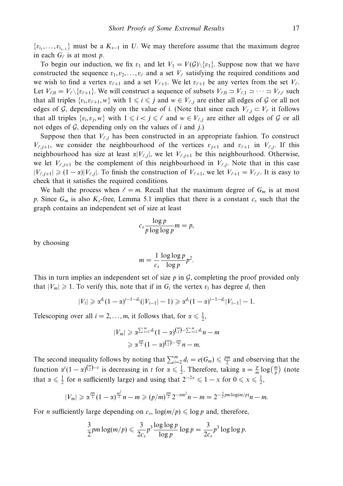${v_{i_1},...,v_{i_{s-1}}}$  must be a  $K_{s-1}$  in *U*. We may therefore assume that the maximum degree in each  $G_\ell$  is at most *p*.

To begin our induction, we fix  $v_1$  and let  $V_1 = V(G) \setminus \{v_1\}$ . Suppose now that we have constructed the sequence  $v_1, v_2, \ldots, v_\ell$  and a set  $V_\ell$  satisfying the required conditions and we wish to find a vertex  $v_{\ell+1}$  and a set  $V_{\ell+1}$ . We let  $v_{\ell+1}$  be any vertex from the set  $V_{\ell}$ . Let  $V_{\ell,0} = V_{\ell} \setminus \{v_{\ell+1}\}\)$ . We will construct a sequence of subsets  $V_{\ell,0} \supset V_{\ell,1} \supset \cdots \supset V_{\ell,\ell}$  such that all triples  $\{v_i, v_{\ell+1}, w\}$  with  $1 \le i \le j$  and  $w \in V_{\ell,j}$  are either all edges of G or all not edges of G, depending only on the value of *i*. (Note that since each  $V_{\ell, j} \subset V_{\ell}$  it follows that all triples  $\{v_i, v_j, w\}$  with  $1 \leq i < j \leq \ell$  and  $w \in V_{\ell, j}$  are either all edges of G or all not edges of  $G$ , depending only on the values of  $i$  and  $j$ .)

Suppose then that  $V_{\ell,j}$  has been constructed in an appropriate fashion. To construct  $V_{\ell,i+1}$ , we consider the neighbourhood of the vertices  $v_{i+1}$  and  $v_{\ell+1}$  in  $V_{\ell,i}$ . If this neighbourhood has size at least  $\alpha|V_{\ell,j}|$ , we let  $V_{\ell,j+1}$  be this neighbourhood. Otherwise, we let  $V_{\ell,j+1}$  be the complement of this neighbourhood in  $V_{\ell,j}$ . Note that in this case  $|V_{\ell,j+1}| \geq (1-\alpha)|V_{\ell,j}|$ . To finish the construction of  $V_{\ell+1}$ , we let  $V_{\ell+1} = V_{\ell,\ell}$ . It is easy to check that it satisfies the required conditions.

We halt the process when  $\ell = m$ . Recall that the maximum degree of  $G_m$  is at most *p*. Since  $G_m$  is also  $K_s$ -free, Lemma 5.1 implies that there is a constant  $c_s$  such that the graph contains an independent set of size at least

$$
c_s \frac{\log p}{p \log \log p} m = p,
$$

by choosing

$$
m = \frac{1}{c_s} \frac{\log \log p}{\log p} p^2.
$$

This in turn implies an independent set of size *p* in G, completing the proof provided only that  $|V_m| \ge 1$ . To verify this, note that if in  $G_i$  the vertex  $v_i$  has degree  $d_i$  then

$$
|V_i| \geqslant \alpha^{d_i} (1-\alpha)^{i-1-d_i} (|V_{i-1}|-1) \geqslant \alpha^{d_i} (1-\alpha)^{i-1-d_i} |V_{i-1}|-1.
$$

Telescoping over all  $i = 2, ..., m$ , it follows that, for  $\alpha \leq \frac{1}{2}$ ,

$$
|V_m| \geq \alpha^{\sum_{i=2}^m d_i} (1-\alpha)^{\binom{m}{2}-\sum_{i=2}^m d_i} n-m
$$
  

$$
\geq \alpha^{\frac{pm}{2}} (1-\alpha)^{\binom{m}{2}-\frac{pm}{2}} n-m.
$$

The second inequality follows by noting that  $\sum_{i=2}^{m} d_i = e(G_m) \leq \frac{pm}{2}$  and observing that the function  $\alpha^t(1-\alpha)^{\binom{m}{2}-t}$  is decreasing in *t* for  $\alpha \leq \frac{1}{2}$ . Therefore, taking  $\alpha = \frac{p}{m} \log(\frac{m}{p})$  (note that  $\alpha \leq \frac{1}{2}$  for *n* sufficiently large) and using that  $2^{-2x} \leq 1 - x$  for  $0 \leq x \leq \frac{1}{2}$ ,

$$
|V_m| \geqslant \alpha^{\frac{pm}{2}}(1-\alpha)^{\frac{m^2}{2}}n-m \geqslant (p/m)^{\frac{pm}{2}}2^{-\alpha m^2}n-m=2^{-\frac{3}{2}pm\log(m/p)}n-m.
$$

For *n* sufficiently large depending on  $c_s$ ,  $\log(m/p) \leq \log p$  and, therefore,

$$
\frac{3}{2}pm\log(m/p) \leq \frac{3}{2c_s}p^3\frac{\log\log p}{\log p}\log p = \frac{3}{2c_s}p^3\log\log p.
$$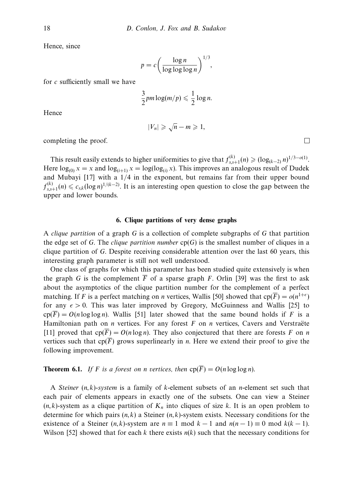Hence, since

$$
p = c \left( \frac{\log n}{\log \log \log n} \right)^{1/3},
$$

for *c* sufficiently small we have

$$
\frac{3}{2}pm\log(m/p)\leqslant\frac{1}{2}\log n.
$$

Hence

$$
|V_n| \geqslant \sqrt{n} - m \geqslant 1,
$$

completing the proof.

This result easily extends to higher uniformities to give that  $f_{s,s+1}^{(k)}(n) \geq (\log_{(k-2)} n)^{1/3-o(1)}$ . Here  $\log_{(0)} x = x$  and  $\log_{(i+1)} x = \log(\log_{(i)} x)$ . This improves an analogous result of Dudek and Mubayi [17] with a 1*/*4 in the exponent, but remains far from their upper bound  $f_{s,s+1}^{(k)}(n)$  ≤  $c_{s,k}(\log n)^{1/(k-2)}$ . It is an interesting open question to close the gap between the upper and lower bounds.

## **6. Clique partitions of very dense graphs**

A clique partition of a graph *G* is a collection of complete subgraphs of *G* that partition the edge set of *G*. The *clique partition number*  $cp(G)$  is the smallest number of cliques in a clique partition of *G*. Despite receiving considerable attention over the last 60 years, this interesting graph parameter is still not well understood.

One class of graphs for which this parameter has been studied quite extensively is when the graph *G* is the complement  $\overline{F}$  of a sparse graph *F*. Orlin [39] was the first to ask about the asymptotics of the clique partition number for the complement of a perfect matching. If *F* is a perfect matching on *n* vertices, Wallis [50] showed that  $cp(\overline{F}) = o(n^{1+\epsilon})$ for any  $\epsilon > 0$ . This was later improved by Gregory, McGuinness and Wallis [25] to  $\text{cp}(F) = O(n \log \log n)$ . Wallis [51] later showed that the same bound holds if *F* is a Hamiltonian path on *n* vertices. For any forest  $F$  on  $n$  vertices, Cavers and Verstraëte [11] proved that  $cp(\overline{F}) = O(n \log n)$ . They also conjectured that there are forests *F* on *n* vertices such that  $cp(F)$  grows superlinearly in *n*. Here we extend their proof to give the following improvement.

## **Theorem 6.1.** If *F* is a forest on *n* vertices, then  $cp(\overline{F}) = O(n \log \log n)$ .

A Steiner (*n, k*)-system is a family of *k*-element subsets of an *n*-element set such that each pair of elements appears in exactly one of the subsets. One can view a Steiner  $(n, k)$ -system as a clique partition of  $K_n$  into cliques of size k. It is an open problem to determine for which pairs (*n, k*) a Steiner (*n, k*)-system exists. Necessary conditions for the existence of a Steiner  $(n, k)$ -system are  $n \equiv 1 \mod k - 1$  and  $n(n - 1) \equiv 0 \mod k(k - 1)$ . Wilson [52] showed that for each  $k$  there exists  $n(k)$  such that the necessary conditions for

 $\Box$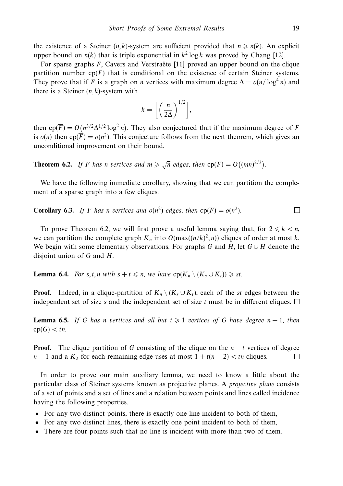the existence of a Steiner  $(n, k)$ -system are sufficient provided that  $n \ge n(k)$ . An explicit upper bound on  $n(k)$  that is triple exponential in  $k^2 \log k$  was proved by Chang [12].

For sparse graphs *F*, Cavers and Verstraëte [11] proved an upper bound on the clique partition number  $cp(\overline{F})$  that is conditional on the existence of certain Steiner systems. They prove that if *F* is a graph on *n* vertices with maximum degree  $\Delta = o(n/\log^4 n)$  and there is a Steiner (*n, k*)-system with

$$
k = \left\lfloor \left(\frac{n}{2\Delta}\right)^{1/2} \right\rfloor,
$$

then  $cp(\overline{F}) = O(n^{3/2}\Delta^{1/2} \log^2 n)$ . They also conjectured that if the maximum degree of *F* is  $o(n)$  then  $cp(\overline{F}) = o(n^2)$ . This conjecture follows from the next theorem, which gives an unconditional improvement on their bound.

**Theorem 6.2.** If *F* has *n* vertices and  $m \ge \sqrt{n}$  edges, then  $cp(\overline{F}) = O((mn)^{2/3})$ .

We have the following immediate corollary, showing that we can partition the complement of a sparse graph into a few cliques.

**Corollary 6.3.** If F has n vertices and 
$$
o(n^2)
$$
 edges, then  $cp(\overline{F}) = o(n^2)$ .

To prove Theorem 6.2, we will first prove a useful lemma saying that, for  $2 \leq k \leq n$ , we can partition the complete graph  $K_n$  into  $O(\max((n/k)^2, n))$  cliques of order at most *k*. We begin with some elementary observations. For graphs *G* and *H*, let *G* ∪ *H* denote the disjoint union of *G* and *H*.

**Lemma 6.4.** For *s*, *t*, *n* with  $s + t \le n$ , we have  $cp(K_n \setminus (K_s \cup K_t)) \ge st$ .

**Proof.** Indeed, in a clique-partition of  $K_n \setminus (K_s \cup K_t)$ , each of the *st* edges between the independent set of size *s* and the independent set of size *t* must be in different cliques.  $\Box$ 

**Lemma 6.5.** If *G* has *n* vertices and all but  $t \geq 1$  vertices of *G* have degree *n* − 1, then  $cp(G) < tn$ .

**Proof.** The clique partition of *G* consisting of the clique on the *n* − *t* vertices of degree *n* − 1 and a  $K_2$  for each remaining edge uses at most  $1 + t(n-2) < t$ n cliques. П

In order to prove our main auxiliary lemma, we need to know a little about the particular class of Steiner systems known as projective planes. A projective plane consists of a set of points and a set of lines and a relation between points and lines called incidence having the following properties.

- For any two distinct points, there is exactly one line incident to both of them,
- For any two distinct lines, there is exactly one point incident to both of them,
- There are four points such that no line is incident with more than two of them.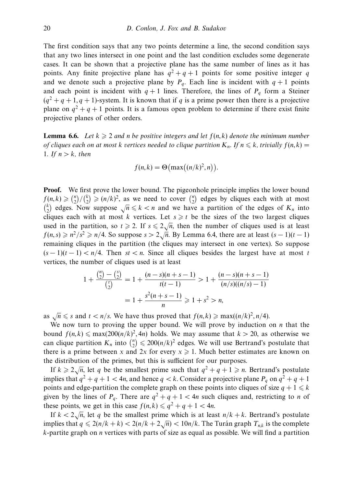The first condition says that any two points determine a line, the second condition says that any two lines intersect in one point and the last condition excludes some degenerate cases. It can be shown that a projective plane has the same number of lines as it has points. Any finite projective plane has  $q^2 + q + 1$  points for some positive integer *q* and we denote such a projective plane by  $P_q$ . Each line is incident with  $q + 1$  points and each point is incident with  $q + 1$  lines. Therefore, the lines of  $P_q$  form a Steiner  $(q^2 + q + 1, q + 1)$ -system. It is known that if *q* is a prime power then there is a projective plane on  $q^2 + q + 1$  points. It is a famous open problem to determine if there exist finite projective planes of other orders.

**Lemma 6.6.** Let  $k \geqslant 2$  and *n* be positive integers and let  $f(n, k)$  denote the minimum number of cliques each on at most *k* vertices needed to clique partition  $K_n$ . If  $n \leq k$ , trivially  $f(n, k) =$ 1. If  $n > k$ , then

$$
f(n,k) = \Theta\big(\max\big((n/k)^2, n\big)\big).
$$

**Proof.** We first prove the lower bound. The pigeonhole principle implies the lower bound  $f(n, k) \geqslant {n \choose 2} / {k \choose 2} \geqslant (n/k)^2$ , as we need to cover  ${n \choose 2}$  edges by cliques each with at most  $k_n$  (*k*)  $\geq$  (2)  $\geq$  (*k*)  $\kappa$ ), as we head to ever (2) edges by enquested with at most (<sup>k</sup>) edges. Now suppose  $\sqrt{n} \leq k$  < *n* and we have a partition of the edges of  $K_n$  into cliques each with at most *k* vertices. Let  $s \geq t$  be the sizes of the two largest cliques used in the partition, so  $t \ge 2$ . If  $s \le 2\sqrt{n}$ , then the number of cliques used is at least  $f(n, s) \geq n^2/s^2 \geq n/4$ . So suppose  $s > 2\sqrt{n}$ . By Lemma 6.4, there are at least  $(s - 1)(t - 1)$ remaining cliques in the partition (the cliques may intersect in one vertex). So suppose  $(s-1)(t-1) < n/4$ . Then  $st < n$ . Since all cliques besides the largest have at most *t* vertices, the number of cliques used is at least

$$
1 + \frac{\binom{n}{2} - \binom{s}{2}}{\binom{t}{2}} = 1 + \frac{(n-s)(n+s-1)}{t(t-1)} > 1 + \frac{(n-s)(n+s-1)}{(n/s)((n/s) - 1)} = 1 + \frac{s^2(n+s-1)}{n} \ge 1 + s^2 > n,
$$

as  $\sqrt{n} \leq s$  and  $t < n/s$ . We have thus proved that  $f(n,k) \geq \max((n/k)^2, n/4)$ .

We now turn to proving the upper bound. We will prove by induction on *n* that the bound  $f(n, k) \le \max(200(n/k)^2, 4n)$  holds. We may assume that  $k > 20$ , as otherwise we can clique partition  $K_n$  into  ${n \choose 2} \le 200(n/k)^2$  edges. We will use Bertrand's postulate that there is a prime between *x* and 2*x* for every  $x \ge 1$ . Much better estimates are known on the distribution of the primes, but this is sufficient for our purposes.

If  $k \ge 2\sqrt{n}$ , let *q* be the smallest prime such that  $q^2 + q + 1 \ge n$ . Bertrand's postulate implies that  $q^2 + q + 1 < 4n$ , and hence  $q < k$ . Consider a projective plane  $P_q$  on  $q^2 + q + 1$ points and edge-partition the complete graph on these points into cliques of size  $q + 1 \leq k$ given by the lines of  $P_q$ . There are  $q^2 + q + 1 < 4n$  such cliques and, restricting to *n* of these points, we get in this case  $f(n, k) \leq q^2 + q + 1 < 4n$ .

If  $k < 2\sqrt{n}$ , let *q* be the smallest prime which is at least  $n/k + k$ . Bertrand's postulate implies that  $q \leq 2(n/k + k) < 2(n/k + 2\sqrt{n}) < 10n/k$ . The Turan graph  $T_{n,k}$  is the complete *k*-partite graph on *n* vertices with parts of size as equal as possible. We will find a partition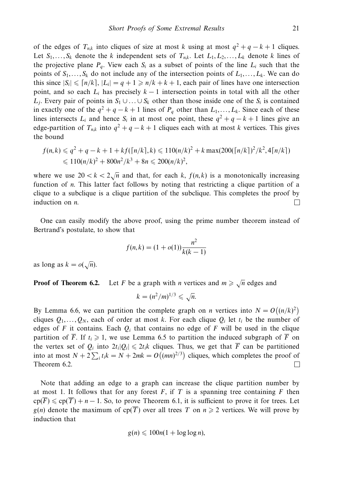of the edges of  $T_{n,k}$  into cliques of size at most *k* using at most  $q^2 + q - k + 1$  cliques. Let  $S_1, \ldots, S_k$  denote the *k* independent sets of  $T_{nk}$ . Let  $L_1, L_2, \ldots, L_k$  denote *k* lines of the projective plane  $P_q$ . View each  $S_i$  as a subset of points of the line  $L_i$  such that the points of  $S_1, \ldots, S_k$  do not include any of the intersection points of  $L_1, \ldots, L_k$ . We can do this since  $|S_i| \leq |n/k|$ ,  $|L_i| = q + 1 \geq n/k + k + 1$ , each pair of lines have one intersection point, and so each  $L_i$  has precisely  $k-1$  intersection points in total with all the other *L<sub>j</sub>*. Every pair of points in *S*<sub>1</sub> ∪ *...* ∪ *S<sub>k</sub>* other than those inside one of the *S<sub>i</sub>* is contained in exactly one of the  $q^2 + q - k + 1$  lines of  $P_q$  other than  $L_1, \ldots, L_k$ . Since each of these lines intersects  $L_i$  and hence  $S_i$  in at most one point, these  $q^2 + q - k + 1$  lines give an edge-partition of  $T_{n,k}$  into  $q^2 + q - k + 1$  cliques each with at most *k* vertices. This gives the bound

$$
f(n,k) \leq q^2 + q - k + 1 + kf(\lceil n/k \rceil, k) \leq 110(n/k)^2 + k \max(200(\lceil n/k \rceil)^2 / k^2, 4\lceil n/k \rceil)
$$
  

$$
\leq 110(n/k)^2 + 800n^2/k^3 + 8n \leq 200(n/k)^2,
$$

where we use  $20 < k < 2\sqrt{n}$  and that, for each *k*,  $f(n, k)$  is a monotonically increasing function of *n*. This latter fact follows by noting that restricting a clique partition of a clique to a subclique is a clique partition of the subclique. This completes the proof by induction on *n*. П

One can easily modify the above proof, using the prime number theorem instead of Bertrand's postulate, to show that

$$
f(n,k) = (1 + o(1))\frac{n^2}{k(k-1)}
$$

as long as  $k = o(\sqrt{n})$ .

**Proof of Theorem 6.2.** Let *F* be a graph with *n* vertices and  $m \geq \sqrt{n}$  edges and

$$
k=(n^2/m)^{1/3}\leqslant \sqrt{n}.
$$

By Lemma 6.6, we can partition the complete graph on *n* vertices into  $N = O((n/k)^2)$ cliques  $Q_1, \ldots, Q_N$ , each of order at most *k*. For each clique  $Q_i$  let  $t_i$  be the number of edges of  $F$  it contains. Each  $Q_i$  that contains no edge of  $F$  will be used in the clique partition of *F*. If  $t_i \geq 1$ , we use Lemma 6.5 to partition the induced subgraph of *F* on the vertex set of  $Q_i$  into  $2t_i|Q_i| \leq 2t_i k$  cliques. Thus, we get that  $\overline{F}$  can be partitioned into at most  $N + 2\sum_i t_i k = N + 2mk = O((mn)^{2/3})$  cliques, which completes the proof of Theorem 6.2.  $\Box$ 

Note that adding an edge to a graph can increase the clique partition number by at most 1. It follows that for any forest  $F$ , if  $T$  is a spanning tree containing  $F$  then  $\text{cp}(\overline{F}) \leq \text{cp}(\overline{T}) + n - 1$ . So, to prove Theorem 6.1, it is sufficient to prove it for trees. Let  $g(n)$  denote the maximum of cp(*T*) over all trees *T* on  $n \ge 2$  vertices. We will prove by induction that

$$
g(n) \leqslant 100n(1 + \log \log n),
$$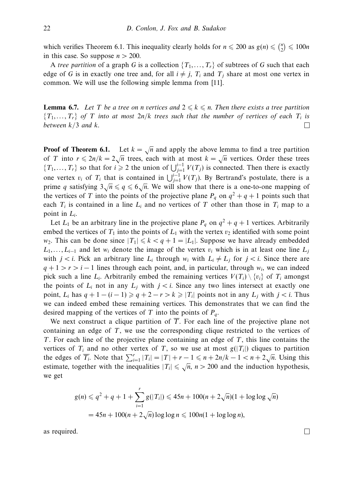which verifies Theorem 6.1. This inequality clearly holds for  $n \le 200$  as  $g(n) \le {n \choose 2} \le 100n$ in this case. So suppose  $n > 200$ .

A tree partition of a graph *G* is a collection  $\{T_1, \ldots, T_r\}$  of subtrees of *G* such that each edge of G is in exactly one tree and, for all  $i \neq j$ ,  $T_i$  and  $T_j$  share at most one vertex in common. We will use the following simple lemma from [11].

**Lemma 6.7.** Let *T* be a tree on *n* vertices and  $2 \leq k \leq n$ . Then there exists a tree partition  ${T_1,\ldots,T_r}$  of *T* into at most  $2n/k$  trees such that the number of vertices of each  $T_i$  is between *k/*3 and *k*.  $\Box$ 

**Proof of Theorem 6.1.** Let  $k = \sqrt{n}$  and apply the above lemma to find a tree partition of *T* into  $r \le 2n/k = 2\sqrt{n}$  trees, each with at most  $k = \sqrt{n}$  vertices. Order these trees {*T*<sub>1</sub>,...,*T<sub>r</sub>*} so that for *i* ≥ 2 the union of  $\bigcup_{j=1}^{i-1} V(T_j)$  is connected. Then there is exactly one vertex  $v_i$  of  $T_i$  that is contained in  $\bigcup_{j=1}^{i-1} V(T_j)$ . By Bertrand's postulate, there is a prime *q* satisfying  $3\sqrt{n} \leq q \leq 6\sqrt{n}$ . We will show that there is a one-to-one mapping of the vertices of *T* into the points of the projective plane  $P_q$  on  $q^2 + q + 1$  points such that each  $T_i$  is contained in a line  $L_i$  and no vertices of  $T$  other than those in  $T_i$  map to a point in *Li*.

Let  $L_1$  be an arbitrary line in the projective plane  $P_q$  on  $q^2 + q + 1$  vertices. Arbitrarily embed the vertices of  $T_1$  into the points of  $L_1$  with the vertex  $v_2$  identified with some point *w*<sub>2</sub>. This can be done since  $|T_1| \leq k < q + 1 = |L_1|$ . Suppose we have already embedded  $L_1, \ldots, L_{i-1}$  and let *w<sub>i</sub>* denote the image of the vertex *v<sub>i</sub>* which is in at least one line  $L_i$ with  $j < i$ . Pick an arbitrary line  $L_i$  through  $w_i$  with  $L_i \neq L_j$  for  $j < i$ . Since there are  $q + 1 > r > i - 1$  lines through each point, and, in particular, through  $w_i$ , we can indeed pick such a line  $L_i$ . Arbitrarily embed the remaining vertices  $V(T_i) \setminus \{v_i\}$  of  $T_i$  amongst the points of  $L_i$  not in any  $L_i$  with  $j < i$ . Since any two lines intersect at exactly one point,  $L_i$  has  $q + 1 - (i - 1) \geqslant q + 2 - r > k \geqslant |T_i|$  points not in any  $L_j$  with  $j < i$ . Thus we can indeed embed these remaining vertices. This demonstrates that we can find the desired mapping of the vertices of *T* into the points of *Pq*.

We next construct a clique partition of  $\overline{T}$ . For each line of the projective plane not containing an edge of *T*, we use the corresponding clique restricted to the vertices of *T*. For each line of the projective plane containing an edge of *T*, this line contains the vertices of  $T_i$  and no other vertex of  $T$ , so we use at most  $g(|T_i|)$  cliques to partition the edges of  $\overline{T_i}$ . Note that  $\sum_{i=1}^{r} |T_i| = |T| + r - 1 \le n + 2n/k - 1 < n + 2\sqrt{n}$ . Using this estimate, together with the inequalities  $|T_i| \leq \sqrt{n}$ ,  $n > 200$  and the induction hypothesis, we get

$$
g(n) \leq q^2 + q + 1 + \sum_{i=1}^r g(|T_i|) \leq 45n + 100(n + 2\sqrt{n})(1 + \log \log \sqrt{n})
$$
  
= 45n + 100(n + 2\sqrt{n})\log \log n \leq 100n(1 + \log \log n),

as required.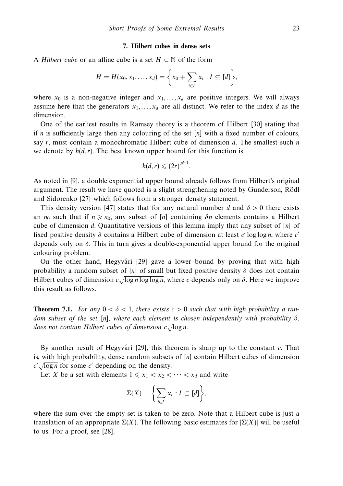#### **7. Hilbert cubes in dense sets**

A Hilbert cube or an affine cube is a set *H* ⊂ N of the form

$$
H = H(x_0, x_1, ..., x_d) = \left\{ x_0 + \sum_{i \in I} x_i : I \subseteq [d] \right\},\
$$

where  $x_0$  is a non-negative integer and  $x_1, \ldots, x_d$  are positive integers. We will always assume here that the generators  $x_1, \ldots, x_d$  are all distinct. We refer to the index *d* as the dimension.

One of the earliest results in Ramsey theory is a theorem of Hilbert [30] stating that if *n* is sufficiently large then any colouring of the set [*n*] with a fixed number of colours, say *r*, must contain a monochromatic Hilbert cube of dimension *d*. The smallest such *n* we denote by  $h(d, r)$ . The best known upper bound for this function is

$$
h(d,r)\leqslant (2r)^{2^{d-1}}.
$$

As noted in [9], a double exponential upper bound already follows from Hilbert's original argument. The result we have quoted is a slight strengthening noted by Gunderson, Rödl and Sidorenko [27] which follows from a stronger density statement.

This density version [47] states that for any natural number *d* and  $\delta > 0$  there exists an  $n_0$  such that if  $n \geq n_0$ , any subset of [*n*] containing  $\delta n$  elements contains a Hilbert cube of dimension *d*. Quantitative versions of this lemma imply that any subset of [*n*] of fixed positive density *δ* contains a Hilbert cube of dimension at least *c* log log *n*, where *c* depends only on *δ*. This in turn gives a double-exponential upper bound for the original colouring problem.

On the other hand, Hegyvári [29] gave a lower bound by proving that with high probability a random subset of [*n*] of small but fixed positive density  $\delta$  does not contain Hilbert cubes of dimension  $c\sqrt{\log n \log \log n}$ , where *c* depends only on  $\delta$ . Here we improve this result as follows.

**Theorem 7.1.** For any  $0 < \delta < 1$ , there exists  $c > 0$  such that with high probability a random subset of the set [*n*], where each element is chosen independently with probability *δ*, does not contain Hilbert cubes of dimension *c*√log *n*.

By another result of Hegyvári [29], this theorem is sharp up to the constant  $c$ . That is, with high probability, dense random subsets of [*n*] contain Hilbert cubes of dimension  $c'$   $\sqrt{\log n}$  for some *c'* depending on the density.

Let *X* be a set with elements  $1 \leq x_1 < x_2 < \cdots < x_d$  and write

$$
\Sigma(X) = \left\{ \sum_{i \in I} x_i : I \subseteq [d] \right\},\
$$

where the sum over the empty set is taken to be zero. Note that a Hilbert cube is just a translation of an appropriate Σ(*X*). The following basic estimates for |Σ(*X*)| will be useful to us. For a proof, see [28].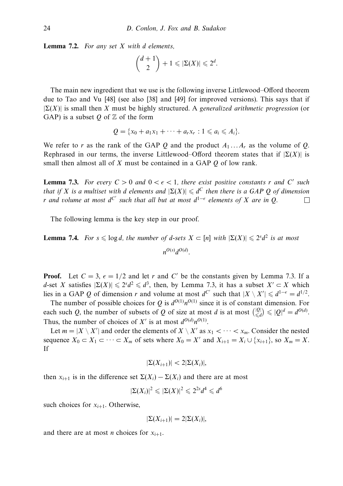**Lemma 7.2.** For any set *X* with *d* elements,

$$
\binom{d+1}{2}+1\leqslant |\Sigma(X)|\leqslant 2^d.
$$

The main new ingredient that we use is the following inverse Littlewood–Offord theorem due to Tao and Vu [48] (see also [38] and [49] for improved versions). This says that if  $|\Sigma(X)|$  is small then X must be highly structured. A generalized arithmetic progression (or GAP) is a subset  $Q$  of  $Z$  of the form

$$
Q=\{x_0+a_1x_1+\cdots+a_rx_r:1\leqslant a_i\leqslant A_i\}.
$$

We refer to *r* as the rank of the GAP *Q* and the product  $A_1 \ldots A_r$  as the volume of *Q*. Rephrased in our terms, the inverse Littlewood–Offord theorem states that if  $|\Sigma(X)|$  is small then almost all of *X* must be contained in a GAP *Q* of low rank.

**Lemma 7.3.** For every  $C > 0$  and  $0 < \epsilon < 1$ , there exist positive constants *r* and *C'* such that if *X* is a multiset with *d* elements and  $|\Sigma(X)| \le d^C$  then there is a GAP Q of dimension *r* and volume at most  $d^{C'}$  such that all but at most  $d^{1-\epsilon}$  elements of *X* are in Q.  $\Box$ 

The following lemma is the key step in our proof.

**Lemma 7.4.** For  $s \leq \log d$ , the number of *d*-sets  $X \subset [n]$  with  $|\Sigma(X)| \leq 2^s d^2$  is at most  $n^{O(s)}d^{O(d)}$ .

**Proof.** Let  $C = 3$ ,  $\epsilon = 1/2$  and let *r* and *C'* be the constants given by Lemma 7.3. If a *d*-set *X* satisfies  $|\Sigma(X)| \le 2^s d^2 \le d^3$ , then, by Lemma 7.3, it has a subset  $X' \subset X$  which lies in a GAP *Q* of dimension *r* and volume at most  $d^{C'}$  such that  $|X \setminus X'| \leq d^{1-\epsilon} = d^{1/2}$ .

The number of possible choices for *Q* is  $d^{O(1)}n^{O(1)}$  since it is of constant dimension. For each such *Q*, the number of subsets of *Q* of size at most *d* is at most  $\left(\frac{|Q|}{\le d}\right) \le |Q|^d = d^{O(d)}$ . Thus, the number of choices of  $X'$  is at most  $d^{O(d)}n^{O(1)}$ .

Let  $m = |X \setminus X'|$  and order the elements of  $X \setminus X'$  as  $x_1 < \cdots < x_m$ . Consider the nested sequence  $X_0 \subset X_1 \subset \cdots \subset X_m$  of sets where  $X_0 = X'$  and  $X_{i+1} = X_i \cup \{x_{i+1}\}\)$ , so  $X_m = X$ . If

$$
|\Sigma(X_{i+1})| < 2|\Sigma(X_i)|
$$

then  $x_{i+1}$  is in the difference set  $\Sigma(X_i) - \Sigma(X_i)$  and there are at most

$$
|\Sigma(X_i)|^2 \leqslant |\Sigma(X)|^2 \leqslant 2^{2s} d^4 \leqslant d^6
$$

such choices for  $x_{i+1}$ . Otherwise,

$$
|\Sigma(X_{i+1})|=2|\Sigma(X_i)|,
$$

and there are at most *n* choices for  $x_{i+1}$ .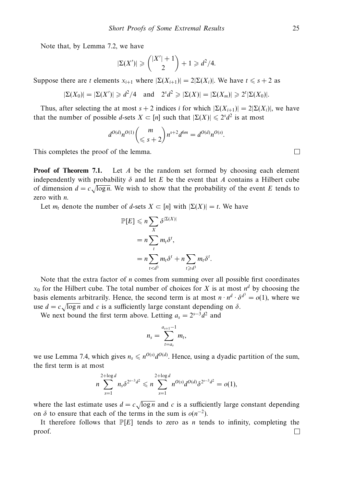Note that, by Lemma 7.2, we have

$$
|\Sigma(X')| \geq {|X'|+1 \choose 2} + 1 \geq d^2/4.
$$

Suppose there are *t* elements  $x_{i+1}$  where  $|\Sigma(X_{i+1})| = 2|\Sigma(X_i)|$ . We have  $t \leq s+2$  as

$$
|\Sigma(X_0)| = |\Sigma(X')| \ge d^2/4
$$
 and  $2^s d^2 \ge |\Sigma(X)| = |\Sigma(X_m)| \ge 2^t |\Sigma(X_0)|$ .

Thus, after selecting the at most  $s + 2$  indices *i* for which  $|\Sigma(X_{i+1})| = 2|\Sigma(X_i)|$ , we have that the number of possible *d*-sets  $X \subset [n]$  such that  $|\Sigma(X)| \leq 2^s d^2$  is at most

$$
d^{O(d)}n^{O(1)}\binom{m}{\leqslant s+2}n^{s+2}d^{6m}=d^{O(d)}n^{O(s)}.
$$

This completes the proof of the lemma.

**Proof of Theorem 7.1.** Let *A* be the random set formed by choosing each element independently with probability  $\delta$  and let *E* be the event that *A* contains a Hilbert cube of dimension  $d = c \sqrt{\log n}$ . We wish to show that the probability of the event *E* tends to zero with *n*.

Let  $m_t$  denote the number of *d*-sets  $X \subset [n]$  with  $|\Sigma(X)| = t$ . We have

$$
\mathbb{P}[E] \leq n \sum_{X} \delta^{|\Sigma(X)|}
$$
  
=  $n \sum_{t} m_t \delta^t$ ,  
=  $n \sum_{t < d^3} m_t \delta^t + n \sum_{t \geq d^3} m_t \delta^t$ .

Note that the extra factor of *n* comes from summing over all possible first coordinates  $x_0$  for the Hilbert cube. The total number of choices for *X* is at most  $n^d$  by choosing the basis elements arbitrarily. Hence, the second term is at most  $n \cdot n^d \cdot \delta^{d^3} = o(1)$ , where we use  $d = c \sqrt{\log n}$  and *c* is a sufficiently large constant depending on  $\delta$ .

We next bound the first term above. Letting  $a_s = 2^{s-3}d^2$  and

$$
n_s=\sum_{t=a_s}^{a_{s+1}-1}m_t,
$$

we use Lemma 7.4, which gives  $n_s \leq n^{O(s)} d^{O(d)}$ . Hence, using a dyadic partition of the sum, the first term is at most

$$
n\sum_{s=1}^{2+\log d} n_s \delta^{2^{s-3}d^2} \leqslant n\sum_{s=1}^{2+\log d} n^{O(s)} d^{O(d)} \delta^{2^{s-3}d^2} = o(1),
$$

where the last estimate uses  $d = c \sqrt{\log n}$  and *c* is a sufficiently large constant depending on  $\delta$  to ensure that each of the terms in the sum is  $o(n^{-2})$ .

It therefore follows that  $\mathbb{P}[E]$  tends to zero as *n* tends to infinity, completing the proof.П

 $\Box$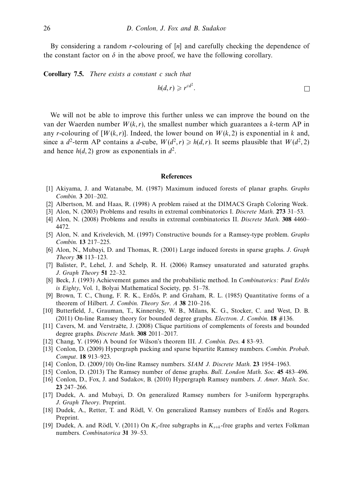By considering a random *r*-colouring of [*n*] and carefully checking the dependence of the constant factor on  $\delta$  in the above proof, we have the following corollary.

**Corollary 7.5.** There exists a constant *c* such that

$$
h(d,r) \geqslant r^{cd^2}.
$$

We will not be able to improve this further unless we can improve the bound on the van der Waerden number  $W(k, r)$ , the smallest number which guarantees a  $k$ -term AP in any *r*-colouring of  $[W(k, r)]$ . Indeed, the lower bound on  $W(k, 2)$  is exponential in *k* and, since a *d*<sup>2</sup>-term AP contains a *d*-cube,  $W(d^2, r) \ge h(d, r)$ . It seems plausible that  $W(d^2, 2)$ and hence  $h(d, 2)$  grow as exponentials in  $d^2$ .

### **References**

- [1] Akiyama, J. and Watanabe, M. (1987) Maximum induced forests of planar graphs. Graphs Combin. **3** 201–202.
- [2] Albertson, M. and Haas, R. (1998) A problem raised at the DIMACS Graph Coloring Week.
- [3] Alon, N. (2003) Problems and results in extremal combinatorics I. Discrete Math. **273** 31–53.
- [4] Alon, N. (2008) Problems and results in extremal combinatorics II. Discrete Math. **308** 4460– 4472.
- [5] Alon, N. and Krivelevich, M. (1997) Constructive bounds for a Ramsey-type problem. Graphs Combin. **13** 217–225.
- [6] Alon, N., Mubayi, D. and Thomas, R. (2001) Large induced forests in sparse graphs. J. Graph Theory **38** 113–123.
- [7] Balister, P., Lehel, J. and Schelp, R. H. (2006) Ramsey unsaturated and saturated graphs. J. Graph Theory **51** 22–32.
- [8] Beck, J. (1993) Achievement games and the probabilistic method. In Combinatorics: Paul Erdős is Eighty, Vol. 1, Bolyai Mathematical Society, pp. 51–78.
- [9] Brown, T. C., Chung, F. R. K., Erdős, P. and Graham, R. L. (1985) Quantitative forms of a theorem of Hilbert. J. Combin. Theory Ser. A **38** 210–216.
- [10] Butterfield, J., Grauman, T., Kinnersley, W. B., Milans, K. G., Stocker, C. and West, D. B. (2011) On-line Ramsey theory for bounded degree graphs. Electron. J. Combin. **18** #136.
- [11] Cavers, M. and Verstraëte, J. (2008) Clique partitions of complements of forests and bounded degree graphs. Discrete Math. **308** 2011–2017.
- [12] Chang, Y. (1996) A bound for Wilson's theorem III. J. Combin. Des. **4** 83–93.
- [13] Conlon, D. (2009) Hypergraph packing and sparse bipartite Ramsey numbers. Combin. Probab. Comput. **18** 913–923.
- [14] Conlon, D. (2009/10) On-line Ramsey numbers. SIAM J. Discrete Math. **23** 1954–1963.
- [15] Conlon, D. (2013) The Ramsey number of dense graphs. Bull. London Math. Soc. **45** 483–496.
- [16] Conlon, D., Fox, J. and Sudakov, B. (2010) Hypergraph Ramsey numbers. J. Amer. Math. Soc. **23** 247–266.
- [17] Dudek, A. and Mubayi, D. On generalized Ramsey numbers for 3-uniform hypergraphs. J. Graph Theory. Preprint.
- [18] Dudek, A., Retter, T. and Rödl, V. On generalized Ramsey numbers of Erdős and Rogers. Preprint.
- [19] Dudek, A. and Rödl, V. (2011) On  $K_s$ -free subgraphs in  $K_{s+k}$ -free graphs and vertex Folkman numbers. Combinatorica **31** 39–53.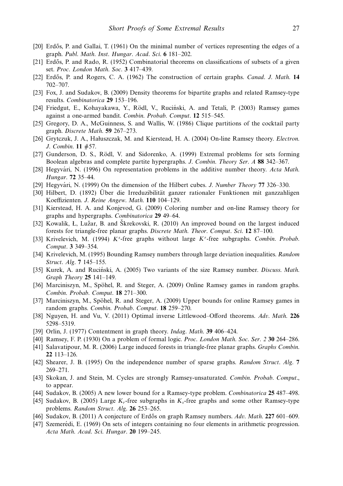- [20] Erdős, P. and Gallai, T. (1961) On the minimal number of vertices representing the edges of a graph. Publ. Math. Inst. Hungar. Acad. Sci. **6** 181–202.
- [21] Erdős, P. and Rado, R. (1952) Combinatorial theorems on classifications of subsets of a given set. Proc. London Math. Soc. **3** 417–439.
- [22] Erd˝os, P. and Rogers, C. A. (1962) The construction of certain graphs. Canad. J. Math. **14** 702–707.
- [23] Fox, J. and Sudakov, B. (2009) Density theorems for bipartite graphs and related Ramsey-type results. Combinatorica **29** 153–196.
- [24] Friedgut, E., Kohayakawa, Y., Rödl, V., Ruciński, A. and Tetali, P. (2003) Ramsey games against a one-armed bandit. Combin. Probab. Comput. **12** 515–545.
- [25] Gregory, D. A., McGuinness, S. and Wallis, W. (1986) Clique partitions of the cocktail party graph. Discrete Math. **59** 267–273.
- [26] Grytczuk, J. A., Haluszczak, M. and Kierstead, H. A. (2004) On-line Ramsey theory. Electron. J. Combin. **11** #57.
- [27] Gunderson, D. S., Rödl, V. and Sidorenko, A. (1999) Extremal problems for sets forming Boolean algebras and complete partite hypergraphs. J. Combin. Theory Ser. A **88** 342–367.
- [28] Hegyvári, N. (1996) On representation problems in the additive number theory. Acta Math. Hungar. **72** 35–44.
- [29] Hegyvári, N. (1999) On the dimension of the Hilbert cubes. J. Number Theory 77 326–330.
- [30] Hilbert, D. (1892) Über die Irreduzibilität ganzer rationaler Funktionen mit ganzzahligen Koeffizienten. J. Reine Angew. Math. **110** 104–129.
- [31] Kierstead, H. A. and Konjevod, G. (2009) Coloring number and on-line Ramsey theory for graphs and hypergraphs. Combinatorica **29** 49–64.
- [32] Kowalik, L, Lužar, B. and Škrekovski, R. (2010) An improved bound on the largest induced forests for triangle-free planar graphs. Discrete Math. Theor. Comput. Sci. **12** 87–100.
- [33] Krivelevich, M. (1994) *K<sup>s</sup>* -free graphs without large *K<sup>r</sup>* -free subgraphs. Combin. Probab. Comput. **3** 349–354.
- [34] Krivelevich, M. (1995) Bounding Ramsey numbers through large deviation inequalities. Random Struct. Alg. **7** 145–155.
- [35] Kurek, A. and Ruciński, A. (2005) Two variants of the size Ramsey number. Discuss. Math. Graph Theory **25** 141–149.
- [36] Marciniszyn, M., Spöhel, R. and Steger, A. (2009) Online Ramsey games in random graphs. Combin. Probab. Comput. **18** 271–300.
- [37] Marciniszyn, M., Spöhel, R. and Steger, A. (2009) Upper bounds for online Ramsey games in random graphs. Combin. Probab. Comput. **18** 259–270.
- [38] Nguyen, H. and Vu, V. (2011) Optimal inverse Littlewood–Offord theorems. Adv. Math. **226** 5298–5319.
- [39] Orlin, J. (1977) Contentment in graph theory. Indag. Math. **39** 406–424.
- [40] Ramsey, F. P. (1930) On a problem of formal logic. Proc. London Math. Soc. Ser. 2 **30** 264–286.
- [41] Salavatipour, M. R. (2006) Large induced forests in triangle-free planar graphs. Graphs Combin. **22** 113–126.
- [42] Shearer, J. B. (1995) On the independence number of sparse graphs. Random Struct. Alg. **7** 269–271.
- [43] Skokan, J. and Stein, M. Cycles are strongly Ramsey-unsaturated. Combin. Probab. Comput., to appear.
- [44] Sudakov, B. (2005) A new lower bound for a Ramsey-type problem. Combinatorica **25** 487–498.
- [45] Sudakov, B. (2005) Large *Kr*-free subgraphs in *Ks*-free graphs and some other Ramsey-type problems. Random Struct. Alg. **26** 253–265.
- [46] Sudakov, B. (2011) A conjecture of Erd˝os on graph Ramsey numbers. Adv. Math. **227** 601–609.
- [47] Szemerédi, E. (1969) On sets of integers containing no four elements in arithmetic progression. Acta Math. Acad. Sci. Hungar. **20** 199–245.